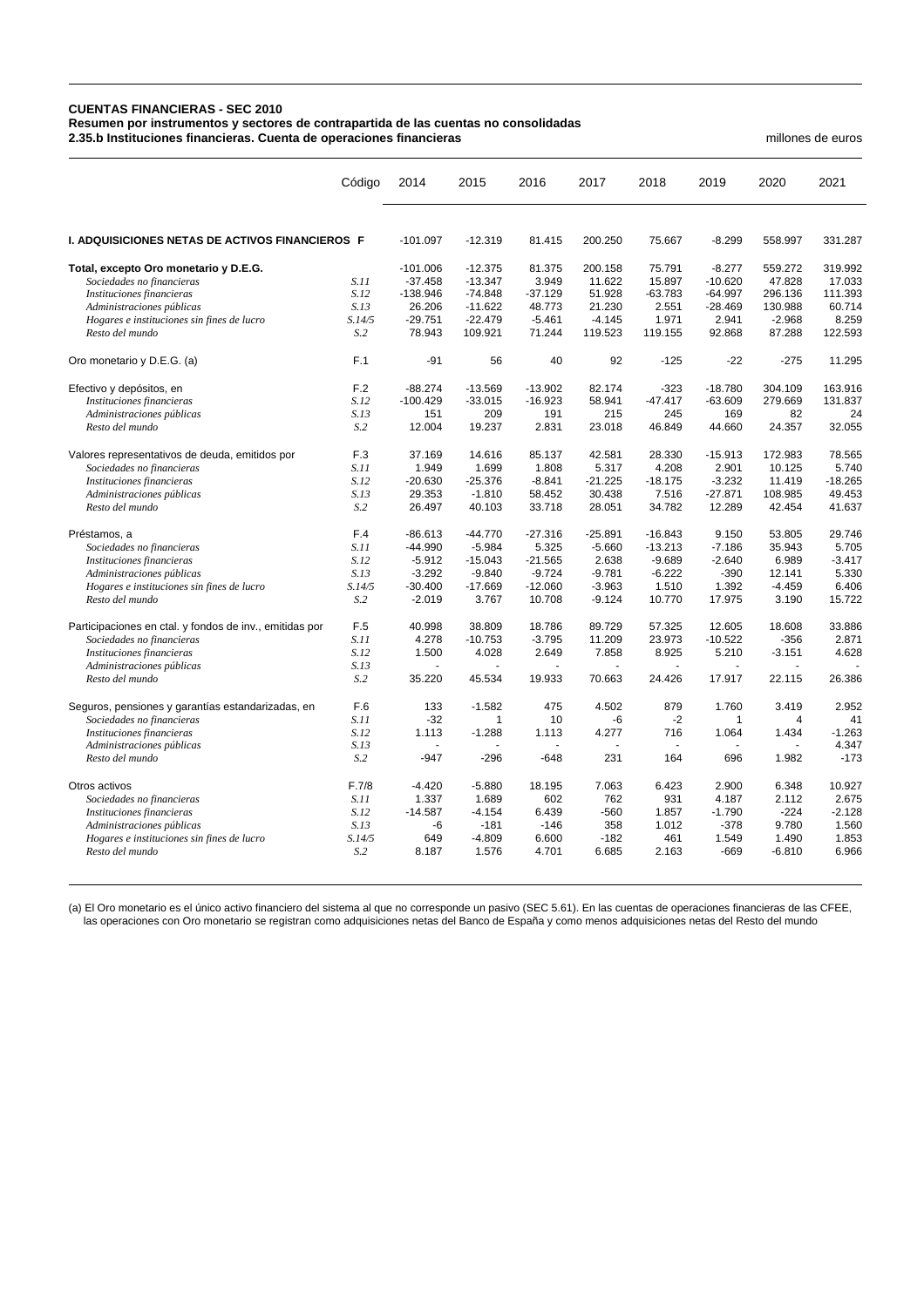## **CUENTAS FINANCIERAS - SEC 2010**

**Resumen por instrumentos y sectores de contrapartida de las cuentas no consolidadas**

**2.35.b Instituciones financieras. Cuenta de operaciones financieras** millones de euros

|                                                                                | Código         | 2014                    | 2015                   | 2016            | 2017              | 2018             | 2019                  | 2020              | 2021              |
|--------------------------------------------------------------------------------|----------------|-------------------------|------------------------|-----------------|-------------------|------------------|-----------------------|-------------------|-------------------|
| I. ADQUISICIONES NETAS DE ACTIVOS FINANCIEROS F                                |                | $-101.097$              | $-12.319$              | 81.415          | 200.250           | 75.667           | $-8.299$              | 558.997           | 331.287           |
|                                                                                |                |                         |                        |                 |                   |                  |                       |                   |                   |
| Total, excepto Oro monetario y D.E.G.<br>Sociedades no financieras             | S.11           | $-101.006$<br>$-37.458$ | $-12.375$<br>$-13.347$ | 81.375<br>3.949 | 200.158<br>11.622 | 75.791<br>15.897 | $-8.277$<br>$-10.620$ | 559.272<br>47.828 | 319.992<br>17.033 |
| Instituciones financieras                                                      | S.12           | $-138.946$              | $-74.848$              | $-37.129$       | 51.928            | $-63.783$        | $-64.997$             | 296.136           | 111.393           |
| Administraciones públicas                                                      | S.13           | 26.206                  | $-11.622$              | 48.773          | 21.230            | 2.551            | $-28.469$             | 130.988           | 60.714            |
| Hogares e instituciones sin fines de lucro                                     | S.14/5         | $-29.751$               | $-22.479$              | $-5.461$        | $-4.145$          | 1.971            | 2.941                 | $-2.968$          | 8.259             |
| Resto del mundo                                                                | S.2            | 78.943                  | 109.921                | 71.244          | 119.523           | 119.155          | 92.868                | 87.288            | 122.593           |
| Oro monetario y D.E.G. (a)                                                     | F.1            | $-91$                   | 56                     | 40              | 92                | $-125$           | $-22$                 | $-275$            | 11.295            |
| Efectivo y depósitos, en                                                       | F.2            | $-88.274$               | $-13.569$              | $-13.902$       | 82.174            | $-323$           | $-18.780$             | 304.109           | 163.916           |
| Instituciones financieras                                                      | S.12           | $-100.429$              | $-33.015$              | $-16.923$       | 58.941            | $-47.417$        | $-63.609$             | 279.669           | 131.837           |
| Administraciones públicas                                                      | S.13           | 151                     | 209                    | 191             | 215               | 245              | 169                   | 82                | 24                |
| Resto del mundo                                                                | S.2            | 12.004                  | 19.237                 | 2.831           | 23.018            | 46.849           | 44.660                | 24.357            | 32.055            |
| Valores representativos de deuda, emitidos por                                 | F.3            | 37.169                  | 14.616                 | 85.137          | 42.581            | 28.330           | $-15.913$             | 172.983           | 78.565            |
| Sociedades no financieras                                                      | S.11           | 1.949                   | 1.699                  | 1.808           | 5.317             | 4.208            | 2.901                 | 10.125            | 5.740             |
| Instituciones financieras                                                      | S.12           | $-20.630$               | $-25.376$              | $-8.841$        | $-21.225$         | $-18.175$        | $-3.232$              | 11.419            | $-18.265$         |
| Administraciones públicas                                                      | S.13           | 29.353                  | $-1.810$               | 58.452          | 30.438            | 7.516            | $-27.871$             | 108.985           | 49.453            |
| Resto del mundo                                                                | S <sub>2</sub> | 26.497                  | 40.103                 | 33.718          | 28.051            | 34.782           | 12.289                | 42.454            | 41.637            |
| Préstamos, a                                                                   | F.4            | $-86.613$               | $-44.770$              | $-27.316$       | $-25.891$         | $-16.843$        | 9.150                 | 53.805            | 29.746            |
| Sociedades no financieras                                                      | S.11           | $-44.990$               | $-5.984$               | 5.325           | $-5.660$          | $-13.213$        | $-7.186$              | 35.943            | 5.705             |
| Instituciones financieras                                                      | S.12           | $-5.912$                | $-15.043$              | $-21.565$       | 2.638             | $-9.689$         | $-2.640$              | 6.989             | $-3.417$          |
| Administraciones públicas                                                      | S.13           | $-3.292$                | $-9.840$               | $-9.724$        | $-9.781$          | $-6.222$         | $-390$                | 12.141            | 5.330             |
| Hogares e instituciones sin fines de lucro                                     | S.14/5         | $-30.400$               | $-17.669$              | $-12.060$       | $-3.963$          | 1.510            | 1.392                 | $-4.459$          | 6.406             |
| Resto del mundo                                                                | S.2            | $-2.019$                | 3.767                  | 10.708          | $-9.124$          | 10.770           | 17.975                | 3.190             | 15.722            |
| Participaciones en ctal. y fondos de inv., emitidas por                        | F.5            | 40.998                  | 38.809                 | 18.786          | 89.729            | 57.325           | 12.605                | 18.608            | 33.886            |
| Sociedades no financieras                                                      | S.11           | 4.278                   | $-10.753$              | $-3.795$        | 11.209            | 23.973           | $-10.522$             | $-356$            | 2.871             |
| Instituciones financieras                                                      | S.12           | 1.500                   | 4.028                  | 2.649           | 7.858             | 8.925            | 5.210                 | $-3.151$          | 4.628             |
| Administraciones públicas<br>Resto del mundo                                   | S.13<br>S.2    | 35.220                  | 45.534                 | 19.933          | 70.663            | 24.426           | 17.917                | 22.115            | 26.386            |
|                                                                                | F.6            | 133                     | $-1.582$               | 475             | 4.502             | 879              | 1.760                 | 3.419             | 2.952             |
| Seguros, pensiones y garantías estandarizadas, en<br>Sociedades no financieras | S.11           | $-32$                   | 1                      | 10              | -6                | $-2$             | 1                     | $\overline{4}$    | 41                |
| Instituciones financieras                                                      | S.12           | 1.113                   | $-1.288$               | 1.113           | 4.277             | 716              | 1.064                 | 1.434             | $-1.263$          |
| Administraciones públicas                                                      | S.13           |                         |                        |                 |                   |                  |                       |                   | 4.347             |
| Resto del mundo                                                                | S.2            | -947                    | $-296$                 | $-648$          | 231               | 164              | 696                   | 1.982             | $-173$            |
| Otros activos                                                                  | F.7/8          | $-4.420$                | $-5.880$               | 18.195          | 7.063             | 6.423            | 2.900                 | 6.348             | 10.927            |
| Sociedades no financieras                                                      | S.11           | 1.337                   | 1.689                  | 602             | 762               | 931              | 4.187                 | 2.112             | 2.675             |
| Instituciones financieras                                                      | S.12           | $-14.587$               | $-4.154$               | 6.439           | $-560$            | 1.857            | $-1.790$              | $-224$            | $-2.128$          |
| Administraciones públicas                                                      | S.13           | -6                      | $-181$                 | $-146$          | 358               | 1.012            | $-378$                | 9.780             | 1.560             |
| Hogares e instituciones sin fines de lucro                                     | S.14/5         | 649                     | $-4.809$               | 6.600           | $-182$            | 461              | 1.549                 | 1.490             | 1.853             |
| Resto del mundo                                                                | S.2            | 8.187                   | 1.576                  | 4.701           | 6.685             | 2.163            | $-669$                | $-6.810$          | 6.966             |

(a) El Oro monetario es el único activo financiero del sistema al que no corresponde un pasivo (SEC 5.61). En las cuentas de operaciones financieras de las CFEE, las operaciones con Oro monetario se registran como adquisiciones netas del Banco de España y como menos adquisiciones netas del Resto del mundo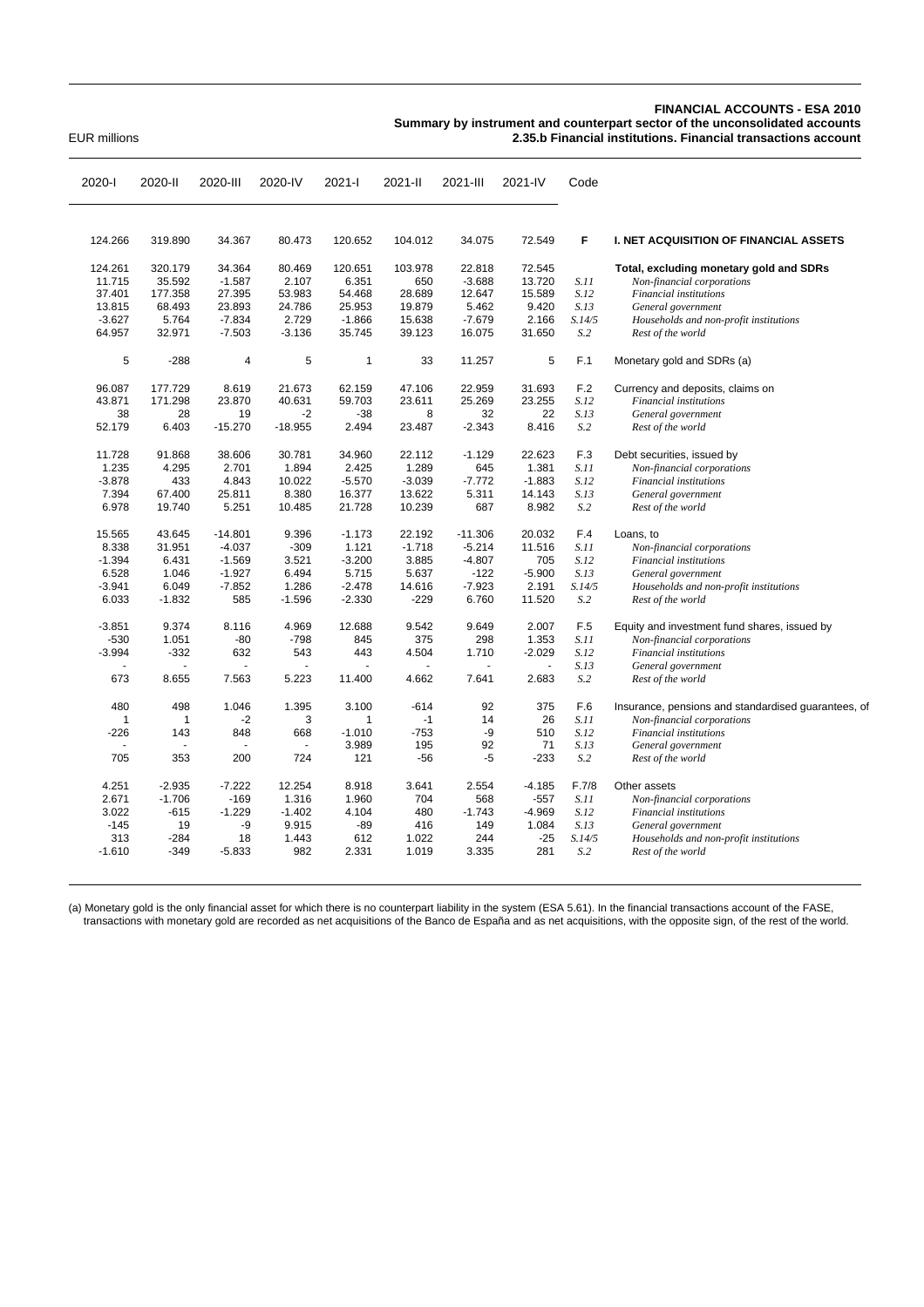## **FINANCIAL ACCOUNTS - ESA 2010**

**Summary by instrument and counterpart sector of the unconsolidated accounts**

EUR millions **2.35.b Financial institutions. Financial transactions account**

| 2020-l       | 2020-II        | 2020-III  | 2020-IV   | 2021-l   | 2021-II  | 2021-III  | 2021-IV  | Code   |                                                     |
|--------------|----------------|-----------|-----------|----------|----------|-----------|----------|--------|-----------------------------------------------------|
|              |                |           |           |          |          |           |          |        |                                                     |
| 124.266      | 319.890        | 34.367    | 80.473    | 120.652  | 104.012  | 34.075    | 72.549   | F      | <b>I. NET ACQUISITION OF FINANCIAL ASSETS</b>       |
| 124.261      | 320.179        | 34.364    | 80.469    | 120.651  | 103.978  | 22.818    | 72.545   |        | Total, excluding monetary gold and SDRs             |
| 11.715       | 35.592         | $-1.587$  | 2.107     | 6.351    | 650      | $-3.688$  | 13.720   | S.11   | Non-financial corporations                          |
| 37.401       | 177.358        | 27.395    | 53.983    | 54.468   | 28.689   | 12.647    | 15.589   | S.12   | Financial institutions                              |
| 13.815       | 68.493         | 23.893    | 24.786    | 25.953   | 19.879   | 5.462     | 9.420    | S.13   | General government                                  |
| $-3.627$     | 5.764          | $-7.834$  | 2.729     | $-1.866$ | 15.638   | $-7.679$  | 2.166    | S.14/5 | Households and non-profit institutions              |
| 64.957       | 32.971         | $-7.503$  | $-3.136$  | 35.745   | 39.123   | 16.075    | 31.650   | S.2    | Rest of the world                                   |
| 5            | $-288$         | 4         | 5         | 1        | 33       | 11.257    | 5        | F.1    | Monetary gold and SDRs (a)                          |
| 96.087       | 177.729        | 8.619     | 21.673    | 62.159   | 47.106   | 22.959    | 31.693   | F.2    | Currency and deposits, claims on                    |
| 43.871       | 171.298        | 23.870    | 40.631    | 59.703   | 23.611   | 25.269    | 23.255   | S.12   | Financial institutions                              |
| 38           | 28             | 19        | $-2$      | $-38$    | 8        | 32        | 22       | S.13   | General government                                  |
| 52.179       | 6.403          | $-15.270$ | $-18.955$ | 2.494    | 23.487   | $-2.343$  | 8.416    | S.2    | Rest of the world                                   |
| 11.728       | 91.868         | 38.606    | 30.781    | 34.960   | 22.112   | $-1.129$  | 22.623   | F.3    | Debt securities, issued by                          |
| 1.235        | 4.295          | 2.701     | 1.894     | 2.425    | 1.289    | 645       | 1.381    | S.11   | Non-financial corporations                          |
| $-3.878$     | 433            | 4.843     | 10.022    | $-5.570$ | $-3.039$ | $-7.772$  | $-1.883$ | S.12   | Financial institutions                              |
| 7.394        | 67.400         | 25.811    | 8.380     | 16.377   | 13.622   | 5.311     | 14.143   | S.13   | General government                                  |
| 6.978        | 19.740         | 5.251     | 10.485    | 21.728   | 10.239   | 687       | 8.982    | S.2    | Rest of the world                                   |
| 15.565       | 43.645         | $-14.801$ | 9.396     | $-1.173$ | 22.192   | $-11.306$ | 20.032   | F.4    | Loans, to                                           |
| 8.338        | 31.951         | $-4.037$  | $-309$    | 1.121    | $-1.718$ | $-5.214$  | 11.516   | S.11   | Non-financial corporations                          |
| $-1.394$     | 6.431          | $-1.569$  | 3.521     | $-3.200$ | 3.885    | $-4.807$  | 705      | S.12   | Financial institutions                              |
| 6.528        | 1.046          | $-1.927$  | 6.494     | 5.715    | 5.637    | $-122$    | $-5.900$ | S.13   | General government                                  |
| $-3.941$     | 6.049          | $-7.852$  | 1.286     | $-2.478$ | 14.616   | $-7.923$  | 2.191    | S.14/5 | Households and non-profit institutions              |
| 6.033        | $-1.832$       | 585       | $-1.596$  | $-2.330$ | $-229$   | 6.760     | 11.520   | S.2    | Rest of the world                                   |
| $-3.851$     | 9.374          | 8.116     | 4.969     | 12.688   | 9.542    | 9.649     | 2.007    | F.5    | Equity and investment fund shares, issued by        |
| $-530$       | 1.051          | -80       | $-798$    | 845      | 375      | 298       | 1.353    | S.11   | Non-financial corporations                          |
| $-3.994$     | $-332$         | 632       | 543       | 443      | 4.504    | 1.710     | $-2.029$ | S.12   | Financial institutions                              |
|              | $\blacksquare$ |           |           |          |          |           |          | S.13   | General government                                  |
| 673          | 8.655          | 7.563     | 5.223     | 11.400   | 4.662    | 7.641     | 2.683    | S.2    | Rest of the world                                   |
| 480          | 498            | 1.046     | 1.395     | 3.100    | $-614$   | 92        | 375      | F.6    | Insurance, pensions and standardised guarantees, of |
| $\mathbf{1}$ | $\mathbf{1}$   | $-2$      | 3         | 1        | $-1$     | 14        | 26       | S.11   | Non-financial corporations                          |
| $-226$       | 143            | 848       | 668       | $-1.010$ | $-753$   | -9        | 510      | S.12   | Financial institutions                              |
|              |                |           |           | 3.989    | 195      | 92        | 71       | S.13   | General government                                  |
| 705          | 353            | 200       | 724       | 121      | $-56$    | -5        | $-233$   | S.2    | Rest of the world                                   |
| 4.251        | $-2.935$       | $-7.222$  | 12.254    | 8.918    | 3.641    | 2.554     | $-4.185$ | F.7/8  | Other assets                                        |
| 2.671        | $-1.706$       | $-169$    | 1.316     | 1.960    | 704      | 568       | $-557$   | S.11   | Non-financial corporations                          |
| 3.022        | $-615$         | $-1.229$  | $-1.402$  | 4.104    | 480      | $-1.743$  | $-4.969$ | S.12   | Financial institutions                              |
| $-145$       | 19             | -9        | 9.915     | $-89$    | 416      | 149       | 1.084    | S.13   | General government                                  |
| 313          | $-284$         | 18        | 1.443     | 612      | 1.022    | 244       | $-25$    | S.14/5 | Households and non-profit institutions              |
| $-1.610$     | $-349$         | $-5.833$  | 982       | 2.331    | 1.019    | 3.335     | 281      | S.2    | Rest of the world                                   |
|              |                |           |           |          |          |           |          |        |                                                     |

(a) Monetary gold is the only financial asset for which there is no counterpart liability in the system (ESA 5.61). In the financial transactions account of the FASE, transactions with monetary gold are recorded as net acquisitions of the Banco de España and as net acquisitions, with the opposite sign, of the rest of the world.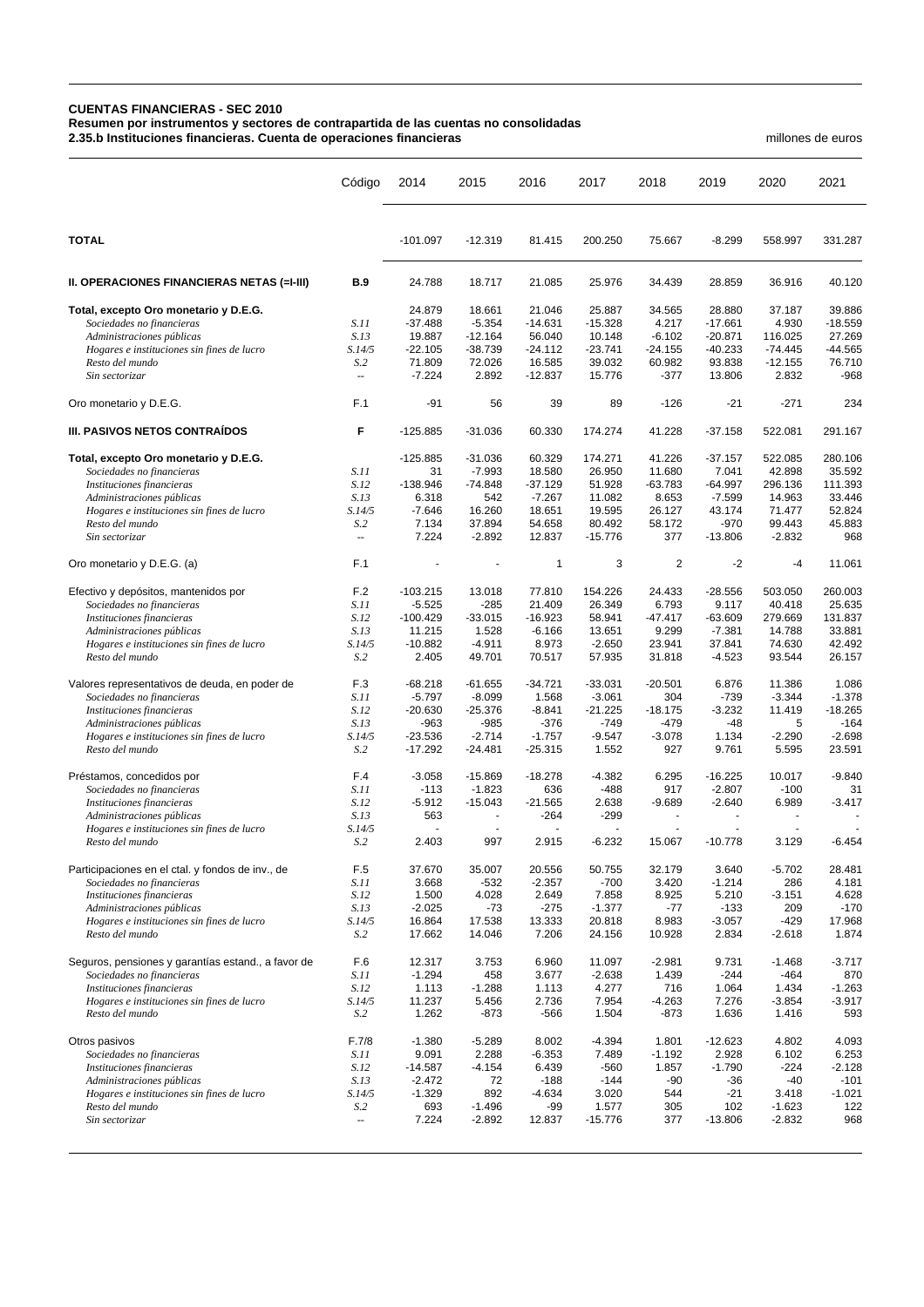## **CUENTAS FINANCIERAS - SEC 2010**

**Resumen por instrumentos y sectores de contrapartida de las cuentas no consolidadas**

**2.35.b Instituciones financieras. Cuenta de operaciones financieras** millones de euros

|                                                                         | Código                          | 2014                | 2015               | 2016                | 2017                | 2018               | 2019                | 2020               | 2021               |
|-------------------------------------------------------------------------|---------------------------------|---------------------|--------------------|---------------------|---------------------|--------------------|---------------------|--------------------|--------------------|
| <b>TOTAL</b>                                                            |                                 | $-101.097$          | $-12.319$          | 81.415              | 200.250             | 75.667             | $-8.299$            | 558.997            | 331.287            |
| II. OPERACIONES FINANCIERAS NETAS (=I-III)                              | <b>B.9</b>                      | 24.788              | 18.717             | 21.085              | 25.976              | 34.439             | 28.859              | 36.916             | 40.120             |
| Total, excepto Oro monetario y D.E.G.                                   |                                 | 24.879              | 18.661             | 21.046              | 25.887              | 34.565             | 28.880              | 37.187             | 39.886             |
| Sociedades no financieras                                               | S.11                            | $-37.488$           | $-5.354$           | $-14.631$           | $-15.328$           | 4.217              | $-17.661$           | 4.930              | $-18.559$          |
| Administraciones públicas                                               | S.13                            | 19.887              | $-12.164$          | 56.040              | 10.148              | $-6.102$           | $-20.871$           | 116.025            | 27.269             |
| Hogares e instituciones sin fines de lucro                              | S.14/5                          | $-22.105$           | $-38.739$          | $-24.112$           | $-23.741$           | $-24.155$          | $-40.233$           | $-74.445$          | $-44.565$          |
| Resto del mundo<br>Sin sectorizar                                       | S <sub>2</sub><br>$\sim$        | 71.809<br>$-7.224$  | 72.026<br>2.892    | 16.585<br>$-12.837$ | 39.032<br>15.776    | 60.982<br>$-377$   | 93.838<br>13.806    | $-12.155$<br>2.832 | 76.710<br>$-968$   |
| Oro monetario y D.E.G.                                                  | F.1                             | $-91$               | 56                 | 39                  | 89                  | $-126$             | $-21$               | $-271$             | 234                |
| III. PASIVOS NETOS CONTRAIDOS                                           | F                               | $-125.885$          | $-31.036$          | 60.330              | 174.274             | 41.228             | $-37.158$           | 522.081            | 291.167            |
| Total, excepto Oro monetario y D.E.G.                                   |                                 | $-125.885$          | $-31.036$          | 60.329              | 174.271             | 41.226             | $-37.157$           | 522.085            | 280.106            |
| Sociedades no financieras                                               | S.11                            | 31                  | $-7.993$           | 18.580              | 26.950              | 11.680             | 7.041               | 42.898             | 35.592             |
| Instituciones financieras                                               | S.12                            | $-138.946$          | $-74.848$          | $-37.129$           | 51.928              | $-63.783$          | $-64.997$           | 296.136            | 111.393            |
| Administraciones públicas                                               | S.13                            | 6.318               | 542                | $-7.267$            | 11.082              | 8.653              | $-7.599$            | 14.963             | 33.446             |
| Hogares e instituciones sin fines de lucro                              | S.14/5                          | $-7.646$            | 16.260             | 18.651              | 19.595              | 26.127             | 43.174              | 71.477             | 52.824             |
| Resto del mundo<br>Sin sectorizar                                       | S <sub>0</sub><br>$\sim$ $\sim$ | 7.134<br>7.224      | 37.894<br>$-2.892$ | 54.658<br>12.837    | 80.492<br>$-15.776$ | 58.172<br>377      | $-970$<br>$-13.806$ | 99.443<br>$-2.832$ | 45.883<br>968      |
| Oro monetario y D.E.G. (a)                                              | F.1                             |                     |                    | $\mathbf{1}$        | 3                   | $\overline{2}$     | $-2$                | $-4$               | 11.061             |
| Efectivo y depósitos, mantenidos por                                    | F.2                             | $-103.215$          | 13.018             | 77.810              | 154.226             | 24.433             | $-28.556$           | 503.050            | 260.003            |
| Sociedades no financieras                                               | S.11                            | $-5.525$            | $-285$             | 21.409              | 26.349              | 6.793              | 9.117               | 40.418             | 25.635             |
| Instituciones financieras                                               | S.12                            | $-100.429$          | $-33.015$          | $-16.923$           | 58.941              | $-47.417$          | $-63.609$           | 279.669            | 131.837            |
| Administraciones públicas                                               | S.13                            | 11.215              | 1.528              | $-6.166$            | 13.651              | 9.299              | $-7.381$            | 14.788             | 33.881             |
| Hogares e instituciones sin fines de lucro                              | S.14/5                          | $-10.882$           | $-4.911$           | 8.973               | $-2.650$            | 23.941             | 37.841              | 74.630             | 42.492             |
| Resto del mundo                                                         | S <sub>0</sub>                  | 2.405               | 49.701             | 70.517              | 57.935              | 31.818             | $-4.523$            | 93.544             | 26.157             |
| Valores representativos de deuda, en poder de                           | F.3                             | $-68.218$           | $-61.655$          | $-34.721$           | $-33.031$           | $-20.501$          | 6.876               | 11.386             | 1.086              |
| Sociedades no financieras                                               | S.11                            | $-5.797$            | $-8.099$           | 1.568               | $-3.061$            | 304                | $-739$              | $-3.344$           | $-1.378$           |
| Instituciones financieras                                               | S.12                            | $-20.630$           | $-25.376$          | $-8.841$            | $-21.225$<br>$-749$ | $-18.175$          | $-3.232$            | 11.419<br>5        | $-18.265$          |
| Administraciones públicas<br>Hogares e instituciones sin fines de lucro | S.13<br>S.14/5                  | $-963$<br>$-23.536$ | $-985$<br>$-2.714$ | -376<br>$-1.757$    | $-9.547$            | $-479$<br>$-3.078$ | $-48$<br>1.134      | $-2.290$           | $-164$<br>$-2.698$ |
| Resto del mundo                                                         | S <sub>2</sub>                  | $-17.292$           | $-24.481$          | $-25.315$           | 1.552               | 927                | 9.761               | 5.595              | 23.591             |
| Préstamos, concedidos por                                               | F.4                             | $-3.058$            | $-15.869$          | $-18.278$           | $-4.382$            | 6.295              | $-16.225$           | 10.017             | $-9.840$           |
| Sociedades no financieras                                               | S.11                            | $-113$              | $-1.823$           | 636                 | $-488$              | 917                | $-2.807$            | $-100$             | 31                 |
| Instituciones financieras                                               | S.12                            | $-5.912$            | $-15.043$          | $-21.565$           | 2.638               | $-9.689$           | $-2.640$            | 6.989              | $-3.417$           |
| Administraciones públicas                                               | S.13                            | 563                 | ٠                  | $-264$              | $-299$              | ÷,                 |                     |                    |                    |
| Hogares e instituciones sin fines de lucro<br>Resto del mundo           | S.14/5<br>S.2                   | 2.403               | 997                | 2.915               | $-6.232$            | 15.067             | $-10.778$           | 3.129              | $-6.454$           |
|                                                                         |                                 |                     |                    |                     |                     |                    |                     |                    |                    |
| Participaciones en el ctal. y fondos de inv., de                        | F.5                             | 37.670              | 35.007             | 20.556              | 50.755              | 32.179             | 3.640               | $-5.702$           | 28.481             |
| Sociedades no financieras                                               | S.11                            | 3.668               | $-532$             | $-2.357$            | $-700$              | 3.420              | $-1.214$            | 286                | 4.181              |
| Instituciones financieras<br>Administraciones públicas                  | S.12<br>S.13                    | 1.500<br>$-2.025$   | 4.028<br>$-73$     | 2.649<br>$-275$     | 7.858<br>$-1.377$   | 8.925<br>-77       | 5.210<br>$-133$     | $-3.151$<br>209    | 4.628<br>$-170$    |
| Hogares e instituciones sin fines de lucro                              | S.14/5                          | 16.864              | 17.538             | 13.333              | 20.818              | 8.983              | $-3.057$            | $-429$             | 17.968             |
| Resto del mundo                                                         | S.2                             | 17.662              | 14.046             | 7.206               | 24.156              | 10.928             | 2.834               | $-2.618$           | 1.874              |
| Seguros, pensiones y garantías estand., a favor de                      | F.6                             | 12.317              | 3.753              | 6.960               | 11.097              | $-2.981$           | 9.731               | $-1.468$           | $-3.717$           |
| Sociedades no financieras                                               | S.11                            | $-1.294$            | 458                | 3.677               | $-2.638$            | 1.439              | $-244$              | -464               | 870                |
| Instituciones financieras                                               | S.12                            | 1.113               | $-1.288$           | 1.113               | 4.277               | 716                | 1.064               | 1.434              | $-1.263$           |
| Hogares e instituciones sin fines de lucro<br>Resto del mundo           | S.14/5<br>S <sub>0</sub>        | 11.237<br>1.262     | 5.456<br>$-873$    | 2.736<br>$-566$     | 7.954<br>1.504      | $-4.263$<br>$-873$ | 7.276<br>1.636      | $-3.854$<br>1.416  | $-3.917$<br>593    |
|                                                                         |                                 |                     |                    |                     |                     |                    |                     |                    |                    |
| Otros pasivos<br>Sociedades no financieras                              | F.7/8<br><i>S.11</i>            | $-1.380$<br>9.091   | $-5.289$<br>2.288  | 8.002<br>$-6.353$   | $-4.394$<br>7.489   | 1.801<br>$-1.192$  | $-12.623$<br>2.928  | 4.802<br>6.102     | 4.093<br>6.253     |
| Instituciones financieras                                               | S.12                            | $-14.587$           | $-4.154$           | 6.439               | -560                | 1.857              | $-1.790$            | $-224$             | $-2.128$           |
| Administraciones públicas                                               | S.13                            | $-2.472$            | 72                 | $-188$              | $-144$              | -90                | $-36$               | $-40$              | $-101$             |
| Hogares e instituciones sin fines de lucro                              | S.14/5                          | $-1.329$            | 892                | $-4.634$            | 3.020               | 544                | $-21$               | 3.418              | $-1.021$           |
| Resto del mundo                                                         | S.2                             | 693                 | $-1.496$           | -99                 | 1.577               | 305                | 102                 | $-1.623$           | 122                |
| Sin sectorizar                                                          | Ξ.                              | 7.224               | $-2.892$           | 12.837              | $-15.776$           | 377                | $-13.806$           | $-2.832$           | 968                |
|                                                                         |                                 |                     |                    |                     |                     |                    |                     |                    |                    |